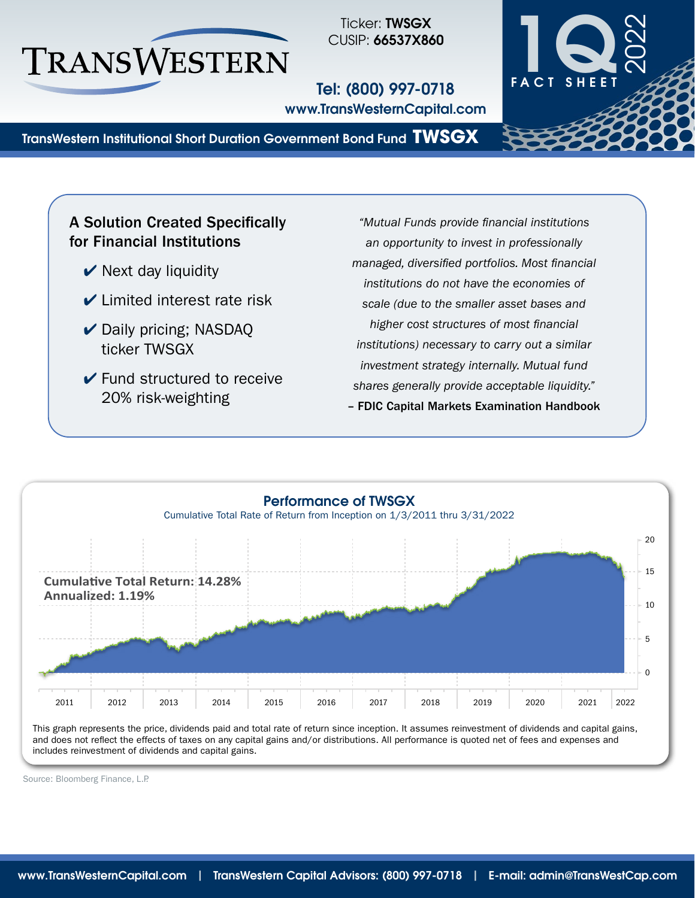

Ticker: TWSGX CUSIP: 66537X860

Tel: (800) 997-0718 www.TransWesternCapital.com



TransWestern Institutional Short Duration Government Bond Fund **TWSGX**

# A Solution Created Specifically for Financial Institutions

- $\vee$  Next day liquidity
- $\vee$  Limited interest rate risk
- **✓** Daily pricing; NASDAQ ticker TWSGX
- $\vee$  Fund structured to receive 20% risk‑weighting

*"Mutual Funds provide financial institutions an opportunity to invest in professionally managed, diversified portfolios. Most financial institutions do not have the economies of scale (due to the smaller asset bases and higher cost structures of most financial institutions) necessary to carry out a similar investment strategy internally. Mutual fund shares generally provide acceptable liquidity."* – FDIC Capital Markets Examination Handbook



This graph represents the price, dividends paid and total rate of return since inception. It assumes reinvestment of dividends and capital gains, and does not reflect the effects of taxes on any capital gains and/or distributions. All performance is quoted net of fees and expenses and includes reinvestment of dividends and capital gains.

Source: Bloomberg Finance, L.P.